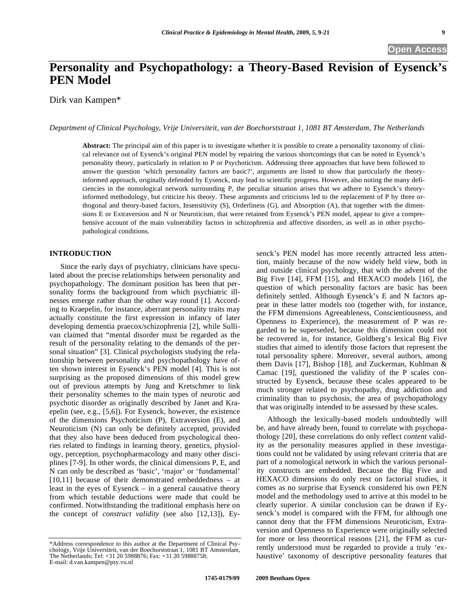# **Personality and Psychopathology: a Theory-Based Revision of Eysenck's PEN Model**

Dirk van Kampen\*

*Department of Clinical Psychology, Vrije Universiteit, van der Boechorststraat 1, 1081 BT Amsterdam, The Netherlands* 

**Abstract:** The principal aim of this paper is to investigate whether it is possible to create a personality taxonomy of clinical relevance out of Eysenck's original PEN model by repairing the various shortcomings that can be noted in Eysenck's personality theory, particularly in relation to P or Psychoticism. Addressing three approaches that have been followed to answer the question 'which personality factors are basic?', arguments are listed to show that particularly the theoryinformed approach, originally defended by Eysenck, may lead to scientific progress. However, also noting the many deficiencies in the nomological network surrounding P, the peculiar situation arises that we adhere to Eysenck's theoryinformed methodology, but criticize his theory. These arguments and criticisms led to the replacement of P by three orthogonal and theory-based factors, Insensitivity (S), Orderliness (G), and Absorption (A), that together with the dimensions E or Extraversion and N or Neuroticism, that were retained from Eysenck's PEN model, appear to give a comprehensive account of the main vulnerability factors in schizophrenia and affective disorders, as well as in other psychopathological conditions.

### **INTRODUCTION**

Since the early days of psychiatry, clinicians have speculated about the precise relationships between personality and psychopathology. The dominant position has been that personality forms the background from which psychiatric illnesses emerge rather than the other way round [1]. According to Kraepelin, for instance, aberrant personality traits may actually constitute the first expression in infancy of later developing dementia praecox/schizophrenia [2], while Sullivan claimed that "mental disorder must be regarded as the result of the personality relating to the demands of the personal situation" [3]. Clinical psychologists studying the relationship between personality and psychopathology have often shown interest in Eysenck's PEN model [4]. This is not surprising as the proposed dimensions of this model grew out of previous attempts by Jung and Kretschmer to link their personality schemes to the main types of neurotic and psychotic disorder as originally described by Janet and Kraepelin (see, e.g., [5,6]). For Eysenck, however, the existence of the dimensions Psychoticism (P), Extraversion (E), and Neuroticism (N) can only be definitely accepted, provided that they also have been deduced from psychological theories related to findings in learning theory, genetics, physiology, perception, psychopharmacology and many other disciplines [7-9]. In other words, the clinical dimensions P, E, and N can only be described as 'basic', 'major' or 'fundamental' [10,11] because of their demonstrated embeddedness – at least in the eyes of Eysenck – in a general causative theory from which testable deductions were made that could be confirmed. Notwithstanding the traditional emphasis here on the concept of *construct validity* (see also [12,13]), Ey-

\*Address correspondence to this author at the Department of Clinical Psychology, Vrije Universiteit, van der Boechorststraat 1, 1081 BT Amsterdam, The Netherlands; Tel: +31 20 5988876; Fax: +31 20 59888758; E-mail: d.van.kampen@psy.vu.nl

senck's PEN model has more recently attracted less attention, mainly because of the now widely held view, both in and outside clinical psychology, that with the advent of the Big Five [14], FFM [15], and HEXACO models [16], the question of which personality factors are basic has been definitely settled. Although Eysenck's E and N factors appear in these latter models too (together with, for instance, the FFM dimensions Agreeableness, Conscientiousness, and Openness to Experience), the measurement of P was regarded to be superseded, because this dimension could not be recovered in, for instance, Goldberg's lexical Big Five studies that aimed to identify those factors that represent the total personality sphere. Moreover, several authors, among them Davis [17], Bishop [18], and Zuckerman, Kuhlman & Camac [19], questioned the validity of the P scales constructed by Eysenck, because these scales appeared to be much stronger related to psychopathy, drug addiction and criminality than to psychosis, the area of psychopathology that was originally intended to be assessed by these scales.

Although the lexically-based models undoubtedly will be, and have already been, found to correlate with psychopathology [20], these correlations do only reflect *content* validity as the personality measures applied in these investigations could not be validated by using relevant criteria that are part of a nomological network in which the various personality constructs are embedded. Because the Big Five and HEXACO dimensions do only rest on factorial studies, it comes as no surprise that Eysenck considered his own PEN model and the methodology used to arrive at this model to be clearly superior. A similar conclusion can be drawn if Eysenck's model is compared with the FFM, for although one cannot deny that the FFM dimensions Neuroticism, Extraversion and Openness to Experience were originally selected for more or less theoretical reasons [21], the FFM as currently understood must be regarded to provide a truly 'exhaustive' taxonomy of descriptive personality features that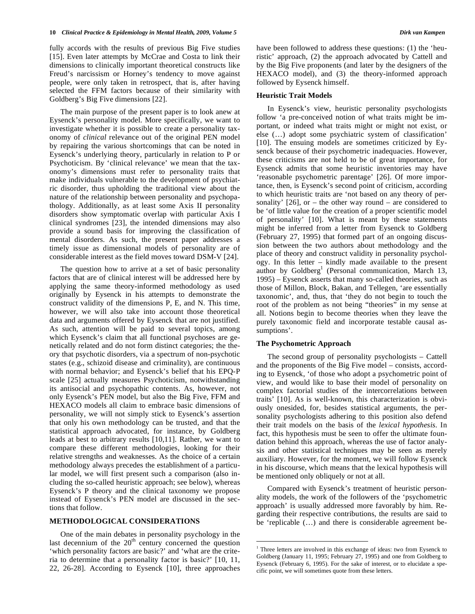fully accords with the results of previous Big Five studies [15]. Even later attempts by McCrae and Costa to link their dimensions to clinically important theoretical constructs like Freud's narcissism or Horney's tendency to move against people, were only taken in retrospect, that is, after having selected the FFM factors because of their similarity with Goldberg's Big Five dimensions [22].

The main purpose of the present paper is to look anew at Eysenck's personality model. More specifically, we want to investigate whether it is possible to create a personality taxonomy of *clinical* relevance out of the original PEN model by repairing the various shortcomings that can be noted in Eysenck's underlying theory, particularly in relation to P or Psychoticism. By 'clinical relevance' we mean that the taxonomy's dimensions must refer to personality traits that make individuals vulnerable to the development of psychiatric disorder, thus upholding the traditional view about the nature of the relationship between personality and psychopathology. Additionally, as at least some Axis II personality disorders show symptomatic overlap with particular Axis I clinical syndromes [23], the intended dimensions may also provide a sound basis for improving the classification of mental disorders. As such, the present paper addresses a timely issue as dimensional models of personality are of considerable interest as the field moves toward DSM-V [24].

The question how to arrive at a set of basic personality factors that are of clinical interest will be addressed here by applying the same theory-informed methodology as used originally by Eysenck in his attempts to demonstrate the construct validity of the dimensions P, E, and N. This time, however, we will also take into account those theoretical data and arguments offered by Eysenck that are not justified. As such, attention will be paid to several topics, among which Eysenck's claim that all functional psychoses are genetically related and do not form distinct categories; the theory that psychotic disorders, via a spectrum of non-psychotic states (e.g., schizoid disease and criminality), are continuous with normal behavior; and Eysenck's belief that his EPQ-P scale [25] actually measures Psychoticism, notwithstanding its antisocial and psychopathic contents. As, however, not only Eysenck's PEN model, but also the Big Five, FFM and HEXACO models all claim to embrace basic dimensions of personality, we will not simply stick to Eysenck's assertion that only his own methodology can be trusted, and that the statistical approach advocated, for instance, by Goldberg leads at best to arbitrary results [10,11]. Rather, we want to compare these different methodologies, looking for their relative strengths and weaknesses. As the choice of a certain methodology always precedes the establishment of a particular model, we will first present such a comparison (also including the so-called heuristic approach; see below), whereas Eysenck's P theory and the clinical taxonomy we propose instead of Eysenck's PEN model are discussed in the sections that follow.

# **METHODOLOGICAL CONSIDERATIONS**

One of the main debates in personality psychology in the last decennium of the  $20<sup>th</sup>$  century concerned the question 'which personality factors are basic?' and 'what are the criteria to determine that a personality factor is basic?' [10, 11, 22, 26-28]. According to Eysenck [10], three approaches have been followed to address these questions: (1) the 'heuristic' approach, (2) the approach advocated by Cattell and by the Big Five proponents (and later by the designers of the HEXACO model), and (3) the theory-informed approach followed by Eysenck himself.

#### **Heuristic Trait Models**

In Eysenck's view, heuristic personality psychologists follow 'a pre-conceived notion of what traits might be important, or indeed what traits might or might not exist, or else (…) adopt some psychiatric system of classification' [10]. The ensuing models are sometimes criticized by Eysenck because of their psychometric inadequacies. However, these criticisms are not held to be of great importance, for Eysenck admits that some heuristic inventories may have 'reasonable psychometric parentage' [26]. Of more importance, then, is Eysenck's second point of criticism, according to which heuristic traits are 'not based on any theory of personality'  $[26]$ , or – the other way round – are considered to be 'of little value for the creation of a proper scientific model of personality' [10]. What is meant by these statements might be inferred from a letter from Eysenck to Goldberg (February 27, 1995) that formed part of an ongoing discussion between the two authors about methodology and the place of theory and construct validity in personality psychology. In this letter – kindly made available to the present author by Goldberg<sup>1</sup> (Personal communication, March 13, 1995) – Eysenck asserts that many so-called theories, such as those of Millon, Block, Bakan, and Tellegen, 'are essentially taxonomic', and, thus, that 'they do not begin to touch the root of the problem as not being "theories" in my sense at all. Notions begin to become theories when they leave the purely taxonomic field and incorporate testable causal assumptions'.

# **The Psychometric Approach**

<u>.</u>

The second group of personality psychologists – Cattell and the proponents of the Big Five model – consists, according to Eysenck, 'of those who adopt a psychometric point of view, and would like to base their model of personality on complex factorial studies of the intercorrelations between traits' [10]. As is well-known, this characterization is obviously onesided, for, besides statistical arguments, the personality psychologists adhering to this position also defend their trait models on the basis of the *lexical hypothesis*. In fact, this hypothesis must be seen to offer the ultimate foundation behind this approach, whereas the use of factor analysis and other statistical techniques may be seen as merely auxiliary. However, for the moment, we will follow Eysenck in his discourse, which means that the lexical hypothesis will be mentioned only obliquely or not at all.

Compared with Eysenck's treatment of heuristic personality models, the work of the followers of the 'psychometric approach' is usually addressed more favorably by him. Regarding their respective contributions, the results are said to be 'replicable (…) and there is considerable agreement be-

<sup>&</sup>lt;sup>1</sup> Three letters are involved in this exchange of ideas: two from Eysenck to Goldberg (January 11, 1995; February 27, 1995) and one from Goldberg to Eysenck (February 6, 1995). For the sake of interest, or to elucidate a specific point, we will sometimes quote from these letters.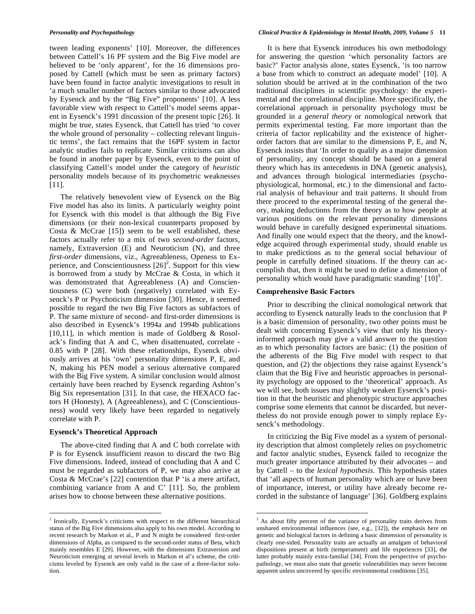tween leading exponents' [10]. Moreover, the differences between Cattell's 16 PF system and the Big Five model are believed to be 'only apparent', for the 16 dimensions proposed by Cattell (which must be seen as primary factors) have been found in factor analytic investigations to result in 'a much smaller number of factors similar to those advocated by Eysenck and by the "Big Five" proponents' [10]. A less favorable view with respect to Cattell's model seems apparent in Eysenck's 1991 discussion of the present topic [26]. It might be true, states Eysenck, that Cattell has tried 'to cover the whole ground of personality – collecting relevant linguistic terms', the fact remains that the 16PF system in factor analytic studies fails to replicate. Similar criticisms can also be found in another paper by Eysenck, even to the point of classifying Cattell's model under the category of *heuristic* personality models because of its psychometric weaknesses [11].

The relatively benevolent view of Eysenck on the Big Five model has also its limits. A particularly weighty point for Eysenck with this model is that although the Big Five dimensions (or their non-lexical counterparts proposed by Costa & McCrae [15]) seem to be well established, these factors actually refer to a mix of two *second-order* factors, namely, Extraversion (E) and Neuroticism (N), and three *first-order* dimensions, viz., Agreeableness, Openess to Experience, and Conscientiousness  $[26]^2$ . Support for this view is borrowed from a study by McCrae & Costa, in which it was demonstrated that Agreeableness (A) and Conscientiousness (C) were both (negatively) correlated with Eysenck's P or Psychoticism dimension [30]. Hence, it seemed possible to regard the two Big Five factors as subfactors of P. The same mixture of second- and first-order dimensions is also described in Eysenck's 1994a and 1994b publications [10,11], in which mention is made of Goldberg  $\&$  Rosolack's finding that A and C, when disattenuated, correlate - 0.85 with P [28]. With these relationships, Eysenck obviously arrives at his 'own' personality dimensions P, E, and N, making his PEN model a serious alternative compared with the Big Five system. A similar conclusion would almost certainly have been reached by Eysenck regarding Ashton's Big Six representation [31]. In that case, the HEXACO factors H (Honesty), A (Agreeableness), and C (Conscientiousness) would very likely have been regarded to negatively correlate with P.

### **Eysenck's Theoretical Approach**

 $\overline{a}$ 

The above-cited finding that A and C both correlate with P is for Eysenck insufficient reason to discard the two Big Five dimensions. Indeed, instead of concluding that A and C must be regarded as subfactors of P, we may also arrive at Costa & McCrae's [22] contention that P 'is a mere artifact, combining variance from A and C' [11]. So, the problem arises how to choose between these alternative positions.

It is here that Eysenck introduces his own methodology for answering the question 'which personality factors are basic?' Factor analysis alone, states Eysenck, 'is too narrow a base from which to construct an adequate model' [10]. A solution should be arrived at in the combination of the two traditional disciplines in scientific psychology: the experimental and the correlational discipline. More specifically, the correlational approach in personality psychology must be grounded in a *general theory* or nomological network that permits experimental testing. Far more important than the criteria of factor replicability and the existence of higherorder factors that are similar to the dimensions P, E, and N, Eysenck insists that 'In order to qualify as a major dimension of personality, any concept should be based on a general theory which has its antecedents in DNA (genetic analysis), and advances through biological intermediaries (psychophysiological, hormonal, etc.) to the dimensional and factorial analysis of behaviour and trait patterns. It should from there proceed to the experimental testing of the general theory, making deductions from the theory as to how people at various positions on the relevant personality dimensions would behave in carefully designed experimental situations. And finally one would expect that the theory, and the knowledge acquired through experimental study, should enable us to make predictions as to the general social behaviour of people in carefully defined situations. If the theory can accomplish that, then it might be used to define a dimension of personality which would have paradigmatic standing'  $[10]$ <sup>3</sup>.

#### **Comprehensive Basic Factors**

<u>.</u>

Prior to describing the clinical nomological network that according to Eysenck naturally leads to the conclusion that P is a basic dimension of personality, two other points must be dealt with concerning Eysenck's view that only his theoryinformed approach may give a valid answer to the question as to which personality factors are basic: (1) the position of the adherents of the Big Five model with respect to that question, and (2) the objections they raise against Eysenck's claim that the Big Five and heuristic approaches in personality psychology are opposed to the 'theoretical' approach. As we will see, both issues may slightly weaken Eysenck's position in that the heuristic and phenotypic structure approaches comprise some elements that cannot be discarded, but nevertheless do not provide enough power to simply replace Eysenck's methodology.

In criticizing the Big Five model as a system of personality description that almost completely relies on psychometric and factor analytic studies, Eysenck failed to recognize the much greater importance attributed by their advocates – and by Cattell – to the *lexical hypothesis*. This hypothesis states that 'all aspects of human personality which are or have been of importance, interest, or utility have already become recorded in the substance of language' [36]. Goldberg explains

 $2$  Ironically, Eysenck's criticisms with respect to the different hierarchical status of the Big Five dimensions also apply to his own model. According to recent research by Markon et al., P and N might be considered first-order dimensions of Alpha, as compared to the second-order status of Beta, which mainly resembles E [29]. However, with the dimensions Extraversion and Neuroticism emerging at several levels in Markon et al's scheme, the criticisms leveled by Eysenck are only valid in the case of a three-factor solution.

<sup>&</sup>lt;sup>3</sup> As about fifty percent of the variance of personality traits derives from unshared environmental influences (see, e.g., [32]), the emphasis here on genetic and biological factors in defining a basic dimension of personality is clearly one-sided. Personality traits are actually an amalgam of behavioral dispositions present at birth (temperament) and life experiences [33], the latter probably mainly extra-familial [34]. From the perspective of psychopathology, we must also state that genetic vulnerabilities may never become apparent unless uncovered by specific environmental conditions [35].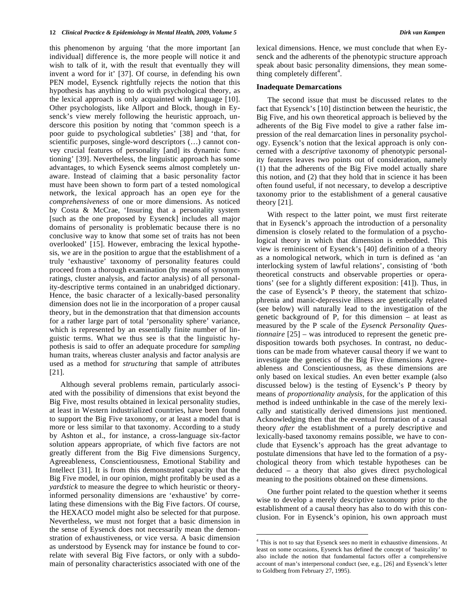this phenomenon by arguing 'that the more important [an individual] difference is, the more people will notice it and wish to talk of it, with the result that eventually they will invent a word for it' [37]. Of course, in defending his own PEN model, Eysenck rightfully rejects the notion that this hypothesis has anything to do with psychological theory, as the lexical approach is only acquainted with language [10]. Other psychologists, like Allport and Block, though in Eysenck's view merely following the heuristic approach, underscore this position by noting that 'common speech is a poor guide to psychological subtleties' [38] and 'that, for scientific purposes, single-word descriptors (…) cannot convey crucial features of personality [and] its dynamic functioning' [39]. Nevertheless, the linguistic approach has some advantages, to which Eysenck seems almost completely unaware. Instead of claiming that a basic personality factor must have been shown to form part of a tested nomological network, the lexical approach has an open eye for the *comprehensiveness* of one or more dimensions. As noticed by Costa & McCrae, 'Insuring that a personality system [such as the one proposed by Eysenck] includes all major domains of personality is problematic because there is no conclusive way to know that some set of traits has not been overlooked' [15]. However, embracing the lexical hypothesis, we are in the position to argue that the establishment of a truly 'exhaustive' taxonomy of personality features could proceed from a thorough examination (by means of synonym ratings, cluster analysis, and factor analysis) of all personality-descriptive terms contained in an unabridged dictionary. Hence, the basic character of a lexically-based personality dimension does not lie in the incorporation of a proper causal theory, but in the demonstration that that dimension accounts for a rather large part of total 'personality sphere' variance, which is represented by an essentially finite number of linguistic terms. What we thus see is that the linguistic hypothesis is said to offer an adequate procedure for *sampling* human traits, whereas cluster analysis and factor analysis are used as a method for *structuring* that sample of attributes [21].

Although several problems remain, particularly associated with the possibility of dimensions that exist beyond the Big Five, most results obtained in lexical personality studies, at least in Western industrialized countries, have been found to support the Big Five taxonomy, or at least a model that is more or less similar to that taxonomy. According to a study by Ashton et al., for instance, a cross-language six-factor solution appears appropriate, of which five factors are not greatly different from the Big Five dimensions Surgency, Agreeableness, Conscientiousness, Emotional Stability and Intellect [31]. It is from this demonstrated capacity that the Big Five model, in our opinion, might profitably be used as a *yardstick* to measure the degree to which heuristic or theoryinformed personality dimensions are 'exhaustive' by correlating these dimensions with the Big Five factors. Of course, the HEXACO model might also be selected for that purpose. Nevertheless, we must not forget that a basic dimension in the sense of Eysenck does not necessarily mean the demonstration of exhaustiveness, or vice versa. A basic dimension as understood by Eysenck may for instance be found to correlate with several Big Five factors, or only with a subdomain of personality characteristics associated with one of the

lexical dimensions. Hence, we must conclude that when Eysenck and the adherents of the phenotypic structure approach speak about basic personality dimensions, they mean something completely different<sup>4</sup>.

#### **Inadequate Demarcations**

The second issue that must be discussed relates to the fact that Eysenck's [10] distinction between the heuristic, the Big Five, and his own theoretical approach is believed by the adherents of the Big Five model to give a rather false impression of the real demarcation lines in personality psychology. Eysenck's notion that the lexical approach is only concerned with a *descriptive* taxonomy of phenotypic personality features leaves two points out of consideration, namely (1) that the adherents of the Big Five model actually share this notion, and (2) that they hold that in science it has been often found useful, if not necessary, to develop a descriptive taxonomy prior to the establishment of a general causative theory [21].

With respect to the latter point, we must first reiterate that in Eysenck's approach the introduction of a personality dimension is closely related to the formulation of a psychological theory in which that dimension is embedded. This view is reminiscent of Eysenck's [40] definition of a theory as a nomological network, which in turn is defined as 'an interlocking system of lawful relations', consisting of 'both theoretical constructs and observable properties or operations' (see for a slightly different exposition: [41]). Thus, in the case of Eysenck's P theory, the statement that schizophrenia and manic-depressive illness are genetically related (see below) will naturally lead to the investigation of the genetic background of P, for this dimension – at least as measured by the P scale of the *Eysenck Personality Questionnaire* [25] – was introduced to represent the genetic predisposition towards both psychoses. In contrast, no deductions can be made from whatever causal theory if we want to investigate the genetics of the Big Five dimensions Agreeableness and Conscientiousness, as these dimensions are only based on lexical studies. An even better example (also discussed below) is the testing of Eysenck's P theory by means of *proportionality analysis*, for the application of this method is indeed unthinkable in the case of the merely lexically and statistically derived dimensions just mentioned. Acknowledging then that the eventual formation of a causal theory *after* the establishment of a purely descriptive and lexically-based taxonomy remains possible, we have to conclude that Eysenck's approach has the great advantage to postulate dimensions that have led to the formation of a psychological theory from which testable hypotheses can be deduced – a theory that also gives direct psychological meaning to the positions obtained on these dimensions.

One further point related to the question whether it seems wise to develop a merely descriptive taxonomy prior to the establishment of a causal theory has also to do with this conclusion. For in Eysenck's opinion, his own approach must

<u>.</u>

<sup>4</sup> This is not to say that Eysenck sees no merit in exhaustive dimensions. At least on some occasions, Eysenck has defined the concept of 'basicality' to also include the notion that fundamental factors offer a comprehensive account of man's interpersonal conduct (see, e.g., [26] and Eysenck's letter to Goldberg from February 27, 1995).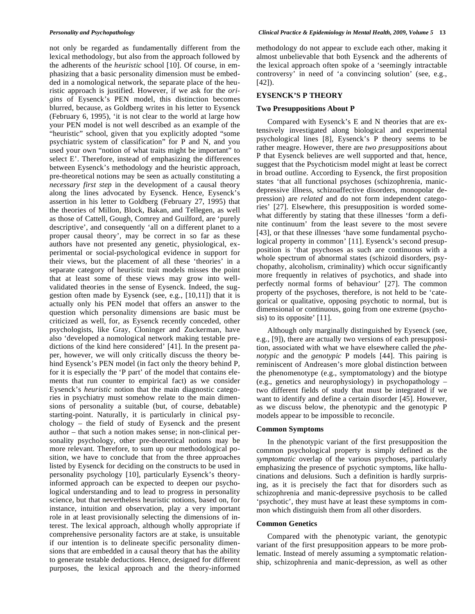not only be regarded as fundamentally different from the lexical methodology, but also from the approach followed by the adherents of the *heuristic* school [10]. Of course, in emphasizing that a basic personality dimension must be embedded in a nomological network, the separate place of the heuristic approach is justified. However, if we ask for the *origins* of Eysenck's PEN model, this distinction becomes blurred, because, as Goldberg writes in his letter to Eysenck (February 6, 1995), 'it is not clear to the world at large how your PEN model is not well described as an example of the "heuristic" school, given that you explicitly adopted "some psychiatric system of classification" for P and N, and you used your own "notion of what traits might be important" to select E'. Therefore, instead of emphasizing the differences between Eysenck's methodology and the heuristic approach, pre-theoretical notions may be seen as actually constituting a *necessary first step* in the development of a causal theory along the lines advocated by Eysenck. Hence, Eysenck's assertion in his letter to Goldberg (February 27, 1995) that the theories of Millon, Block, Bakan, and Tellegen, as well as those of Cattell, Gough, Comrey and Guilford, are 'purely descriptive', and consequently 'all on a different planet to a proper causal theory', may be correct in so far as these authors have not presented any genetic, physiological, experimental or social-psychological evidence in support for their views, but the placement of all these 'theories' in a separate category of heuristic trait models misses the point that at least some of these views may grow into wellvalidated theories in the sense of Eysenck. Indeed, the suggestion often made by Eysenck (see, e.g., [10,11]) that it is actually only his PEN model that offers an answer to the question which personality dimensions are basic must be criticized as well, for, as Eysenck recently conceded, other psychologists, like Gray, Cloninger and Zuckerman, have also 'developed a nomological network making testable predictions of the kind here considered' [41]. In the present paper, however, we will only critically discuss the theory behind Eysenck's PEN model (in fact only the theory behind P, for it is especially the 'P part' of the model that contains elements that run counter to empirical fact) as we consider Eysenck's *heuristic* notion that the main diagnostic categories in psychiatry must somehow relate to the main dimensions of personality a suitable (but, of course, debatable) starting-point. Naturally, it is particularly in clinical psychology – the field of study of Eysenck and the present author – that such a notion makes sense; in non-clinical personality psychology, other pre-theoretical notions may be more relevant. Therefore, to sum up our methodological position, we have to conclude that from the three approaches listed by Eysenck for deciding on the constructs to be used in personality psychology [10], particularly Eysenck's theoryinformed approach can be expected to deepen our psychological understanding and to lead to progress in personality science, but that nevertheless heuristic notions, based on, for instance, intuition and observation, play a very important role in at least provisionally selecting the dimensions of interest. The lexical approach, although wholly appropriate if comprehensive personality factors are at stake, is unsuitable if our intention is to delineate specific personality dimensions that are embedded in a causal theory that has the ability to generate testable deductions. Hence, designed for different purposes, the lexical approach and the theory-informed

methodology do not appear to exclude each other, making it almost unbelievable that both Eysenck and the adherents of the lexical approach often spoke of a 'seemingly intractable controversy' in need of 'a convincing solution' (see, e.g.,  $[42]$ .

# **EYSENCK'S P THEORY**

#### **Two Presuppositions About P**

Compared with Eysenck's E and N theories that are extensively investigated along biological and experimental psychological lines [8], Eysenck's P theory seems to be rather meagre. However, there are *two presuppositions* about P that Eysenck believes are well supported and that, hence, suggest that the Psychoticism model might at least be correct in broad outline. According to Eysenck, the first proposition states 'that all functional psychoses (schizophrenia, manicdepressive illness, schizoaffective disorders, monopolar depression) are *related* and do not form independent categories' [27]. Elsewhere, this presupposition is worded somewhat differently by stating that these illnesses 'form a definite continuum' from the least severe to the most severe [43], or that these illnesses 'have some fundamental psychological property in common' [11]. Eysenck's second presupposition is 'that psychoses as such are continuous with a whole spectrum of abnormal states (schizoid disorders, psychopathy, alcoholism, criminality) which occur significantly more frequently in relatives of psychotics, and shade into perfectly normal forms of behaviour' [27]. The common property of the psychoses, therefore, is not held to be 'categorical or qualitative, opposing psychotic to normal, but is dimensional or continuous, going from one extreme (psychosis) to its opposite' [11].

Although only marginally distinguished by Eysenck (see, e.g., [9]), there are actually two versions of each presupposition, associated with what we have elsewhere called the *phenotypic* and the *genotypic* P models [44]. This pairing is reminiscent of Andreasen's more global distinction between the phenomenotype (e.g., symptomatology) and the biotype (e.g., genetics and neurophysiology) in psychopathology – two different fields of study that must be integrated if we want to identify and define a certain disorder [45]. However, as we discuss below, the phenotypic and the genotypic P models appear to be impossible to reconcile.

#### **Common Symptoms**

In the phenotypic variant of the first presupposition the common psychological property is simply defined as the *symptomatic* overlap of the various psychoses, particularly emphasizing the presence of psychotic symptoms, like hallucinations and delusions. Such a definition is hardly surprising, as it is precisely the fact that for disorders such as schizophrenia and manic-depressive psychosis to be called 'psychotic', they must have at least these symptoms in common which distinguish them from all other disorders.

# **Common Genetics**

Compared with the phenotypic variant, the genotypic variant of the first presupposition appears to be more problematic. Instead of merely assuming a symptomatic relationship, schizophrenia and manic-depression, as well as other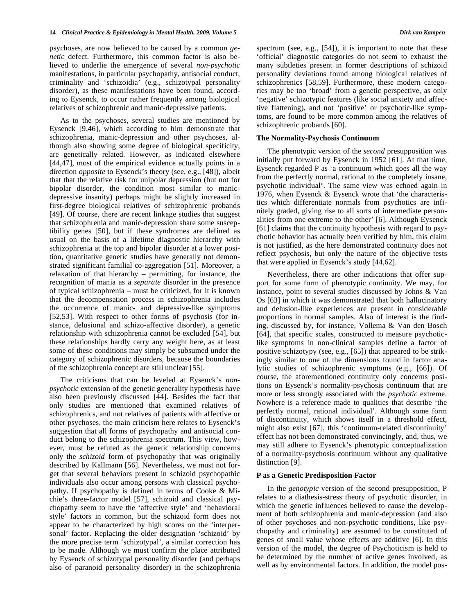psychoses, are now believed to be caused by a common *genetic* defect. Furthermore, this common factor is also believed to underlie the emergence of several *non-psychotic* manifestations, in particular psychopathy, antisocial conduct, criminality and 'schizoidia' (e.g., schizotypal personality disorder), as these manifestations have been found, according to Eysenck, to occur rather frequently among biological relatives of schizophrenic and manic-depressive patients.

As to the psychoses, several studies are mentioned by Eysenck [9,46], which according to him demonstrate that schizophrenia, manic-depression and other psychoses, although also showing some degree of biological specificity, are genetically related. However, as indicated elsewhere [44,47], most of the empirical evidence actually points in a direction *opposite* to Eysenck's theory (see, e.g., [48]), albeit that that the relative risk for unipolar depression (but not for bipolar disorder, the condition most similar to manicdepressive insanity) perhaps might be slightly increased in first-degree biological relatives of schizophrenic probands [49]. Of course, there are recent linkage studies that suggest that schizophrenia and manic-depression share some susceptibility genes [50], but if these syndromes are defined as usual on the basis of a lifetime diagnostic hierarchy with schizophrenia at the top and bipolar disorder at a lower position, quantitative genetic studies have generally not demonstrated significant familial co-aggregation [51]. Moreover, a relaxation of that hierarchy – permitting, for instance, the recognition of mania as a *separate* disorder in the presence of typical schizophrenia – must be criticized, for it is known that the decompensation process in schizophrenia includes the occurrence of manic- and depressive-like symptoms [52,53]. With respect to other forms of psychosis (for instance, delusional and schizo-affective disorder), a genetic relationship with schizophrenia cannot be excluded [54], but these relationships hardly carry any weight here, as at least some of these conditions may simply be subsumed under the category of schizophrenic disorders, because the boundaries of the schizophrenia concept are still unclear [55].

The criticisms that can be leveled at Eysenck's *nonpsychotic* extension of the genetic generality hypothesis have also been previously discussed [44]. Besides the fact that only studies are mentioned that examined relatives of schizophrenics, and not relatives of patients with affective or other psychoses, the main criticism here relates to Eysenck's suggestion that all forms of psychopathy and antisocial conduct belong to the schizophrenia spectrum. This view, however, must be refuted as the genetic relationship concerns only the *schizoid* form of psychopathy that was originally described by Kallmann [56]. Nevertheless, we must not forget that several behaviors present in schizoid psychopathic individuals also occur among persons with classical psychopathy. If psychopathy is defined in terms of Cooke & Michie's three-factor model [57], schizoid and classical psychopathy seem to have the 'affective style' and 'behavioral style' factors in common, but the schizoid form does not appear to be characterized by high scores on the 'interpersonal' factor. Replacing the older designation 'schizoid' by the more precise term 'schizotypal', a similar correction has to be made. Although we must confirm the place attributed by Eysenck of schizotypal personality disorder (and perhaps also of paranoid personality disorder) in the schizophrenia

spectrum (see, e.g., [54]), it is important to note that these 'official' diagnostic categories do not seem to exhaust the many subtleties present in former descriptions of schizoid personality deviations found among biological relatives of schizophrenics [58,59]. Furthermore, these modern categories may be too 'broad' from a genetic perspective, as only 'negative' schizotypic features (like social anxiety and affective flattening), and not 'positive' or psychotic-like symptoms, are found to be more common among the relatives of schizophrenic probands [60].

### **The Normality-Psychosis Continuum**

The phenotypic version of the *second* presupposition was initially put forward by Eysenck in 1952 [61]. At that time, Eysenck regarded P as 'a continuum which goes all the way from the perfectly normal, rational to the completely insane, psychotic individual'. The same view was echoed again in 1976, when Eysenck & Eysenck wrote that 'the characteristics which differentiate normals from psychotics are infinitely graded, giving rise to all sorts of intermediate personalities from one extreme to the other' [6]. Although Eysenck [61] claims that the continuity hypothesis with regard to psychotic behavior has actually been verified by him, this claim is not justified, as the here demonstrated continuity does not reflect psychosis, but only the nature of the objective tests that were applied in Eysenck's study [44,62].

Nevertheless, there are other indications that offer support for some form of phenotypic continuity. We may, for instance, point to several studies discussed by Johns & Van Os [63] in which it was demonstrated that both hallucinatory and delusion-like experiences are present in considerable proportions in normal samples. Also of interest is the finding, discussed by, for instance, Vollema & Van den Bosch [64], that specific scales, constructed to measure psychoticlike symptoms in non-clinical samples define a factor of positive schizotypy (see, e.g., [65]) that appeared to be strikingly similar to one of the dimensions found in factor analytic studies of schizophrenic symptoms (e.g., [66]). Of course, the aforementioned continuity only concerns positions on Eysenck's normality-psychosis continuum that are more or less strongly associated with the *psychotic* extreme. Nowhere is a reference made to qualities that describe 'the perfectly normal, rational individual'. Although some form of discontinuity, which shows itself in a threshold effect, might also exist [67], this 'continuum-related discontinuity' effect has not been demonstrated convincingly, and, thus, we may still adhere to Eysenck's phenotypic conceptualization of a normality-psychosis continuum without any qualitative distinction [9].

# **P as a Genetic Predisposition Factor**

In the *genotypic* version of the second presupposition, P relates to a diathesis-stress theory of psychotic disorder, in which the genetic influences believed to cause the development of both schizophrenia and manic-depression (and also of other psychoses and non-psychotic conditions, like psychopathy and criminality) are assumed to be constituted of genes of small value whose effects are additive [6]. In this version of the model, the degree of Psychoticism is held to be determined by the number of active genes involved, as well as by environmental factors. In addition, the model pos-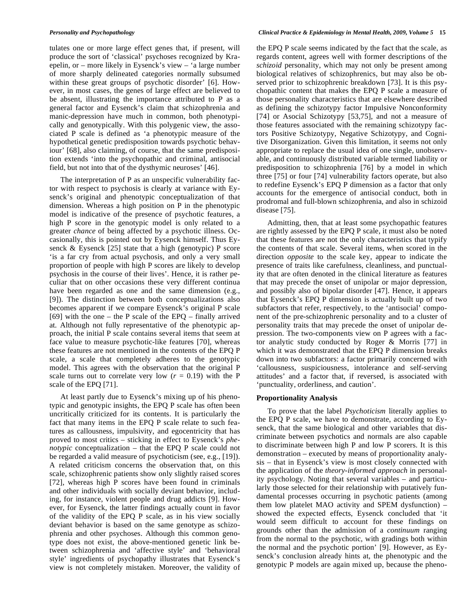tulates one or more large effect genes that, if present, will produce the sort of 'classical' psychoses recognized by Kraepelin, or – more likely in Eysenck's view – 'a large number of more sharply delineated categories normally subsumed within these great groups of psychotic disorder' [6]. However, in most cases, the genes of large effect are believed to be absent, illustrating the importance attributed to P as a general factor and Eysenck's claim that schizophrenia and manic-depression have much in common, both phenotypically and genotypically. With this polygenic view, the associated P scale is defined as 'a phenotypic measure of the hypothetical genetic predisposition towards psychotic behaviour' [68], also claiming, of course, that the same predisposition extends 'into the psychopathic and criminal, antisocial field, but not into that of the dysthymic neuroses' [46].

The interpretation of P as an unspecific vulnerability factor with respect to psychosis is clearly at variance with Eysenck's original and phenotypic conceptualization of that dimension. Whereas a high position on P in the phenotypic model is indicative of the presence of psychotic features, a high P score in the genotypic model is only related to a greater *chance* of being affected by a psychotic illness. Occasionally, this is pointed out by Eysenck himself. Thus Eysenck  $&$  Eysenck [25] state that a high (genotypic) P score 'is a far cry from actual psychosis, and only a very small proportion of people with high P scores are likely to develop psychosis in the course of their lives'. Hence, it is rather peculiar that on other occasions these very different continua have been regarded as one and the same dimension (e.g., [9]). The distinction between both conceptualizations also becomes apparent if we compare Eysenck's original P scale [69] with the one – the P scale of the EPQ – finally arrived at. Although not fully representative of the phenotypic approach, the initial P scale contains several items that seem at face value to measure psychotic-like features [70], whereas these features are not mentioned in the contents of the EPQ P scale, a scale that completely adheres to the genotypic model. This agrees with the observation that the original P scale turns out to correlate very low  $(r = 0.19)$  with the P scale of the EPQ [71].

At least partly due to Eysenck's mixing up of his phenotypic and genotypic insights, the EPQ P scale has often been uncritically criticized for its contents. It is particularly the fact that many items in the EPQ P scale relate to such features as callousness, impulsivity, and egocentricity that has proved to most critics – sticking in effect to Eysenck's *phenotypic* conceptualization – that the EPQ P scale could not be regarded a valid measure of psychoticism (see, e.g., [19]). A related criticism concerns the observation that, on this scale, schizophrenic patients show only slightly raised scores [72], whereas high P scores have been found in criminals and other individuals with socially deviant behavior, including, for instance, violent people and drug addicts [9]. However, for Eysenck, the latter findings actually count in favor of the validity of the EPQ P scale, as in his view socially deviant behavior is based on the same genotype as schizophrenia and other psychoses. Although this common genotype does not exist, the above-mentioned genetic link between schizophrenia and 'affective style' and 'behavioral style' ingredients of psychopathy illustrates that Eysenck's view is not completely mistaken. Moreover, the validity of

the EPQ P scale seems indicated by the fact that the scale, as regards content, agrees well with former descriptions of the *schizoid* personality, which may not only be present among biological relatives of schizophrenics, but may also be observed prior to schizophrenic breakdown [73]. It is this psychopathic content that makes the EPQ P scale a measure of those personality characteristics that are elsewhere described as defining the schizotypy factor Impulsive Nonconformity [74] or Asocial Schizotypy [53,75], and not a measure of those features associated with the remaining schizotypy factors Positive Schizotypy, Negative Schizotypy, and Cognitive Disorganization. Given this limitation, it seems not only appropriate to replace the usual idea of one single, unobservable, and continuously distributed variable termed liability or predisposition to schizophrenia [76] by a model in which three [75] or four [74] vulnerability factors operate, but also to redefine Eysenck's EPQ P dimension as a factor that only accounts for the emergence of antisocial conduct, both in prodromal and full-blown schizophrenia, and also in schizoid disease [75].

Admitting, then, that at least some psychopathic features are rightly assessed by the EPQ P scale, it must also be noted that these features are not the only characteristics that typify the contents of that scale. Several items, when scored in the direction *opposite* to the scale key, appear to indicate the presence of traits like carefulness, cleanliness, and punctuality that are often denoted in the clinical literature as features that may precede the onset of unipolar or major depression, and possibly also of bipolar disorder [47]. Hence, it appears that Eysenck's EPQ P dimension is actually built up of two subfactors that refer, respectively, to the 'antisocial' component of the pre-schizophrenic personality and to a cluster of personality traits that may precede the onset of unipolar depression. The two-components view on P agrees with a factor analytic study conducted by Roger & Morris [77] in which it was demonstrated that the EPQ P dimension breaks down into two subfactors: a factor primarily concerned with 'callousness, suspiciousness, intolerance and self-serving attitudes' and a factor that, if reversed, is associated with 'punctuality, orderliness, and caution'.

#### **Proportionality Analysis**

To prove that the label *Psychoticism* literally applies to the EPQ P scale, we have to demonstrate, according to Eysenck, that the same biological and other variables that discriminate between psychotics and normals are also capable to discriminate between high P and low P scorers. It is this demonstration – executed by means of proportionality analysis – that in Eysenck's view is most closely connected with the application of the *theory-informed approach* in personality psychology. Noting that several variables – and particularly those selected for their relationship with putatively fundamental processes occurring in psychotic patients (among them low platelet MAO activity and SPEM dysfunction) – showed the expected effects, Eysenck concluded that 'it would seem difficult to account for these findings on grounds other than the admission of a *continuum* ranging from the normal to the psychotic, with gradings both within the normal and the psychotic portion' [9]. However, as Eysenck's conclusion already hints at, the phenotypic and the genotypic P models are again mixed up, because the pheno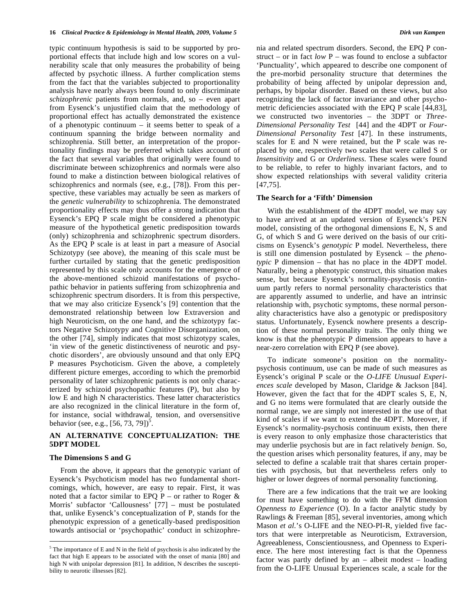typic continuum hypothesis is said to be supported by proportional effects that include high and low scores on a vulnerability scale that only measures the probability of being affected by psychotic illness. A further complication stems from the fact that the variables subjected to proportionality analysis have nearly always been found to only discriminate *schizophrenic* patients from normals, and, so – even apart from Eysenck's unjustified claim that the methodology of proportional effect has actually demonstrated the existence of a phenotypic continuum – it seems better to speak of a continuum spanning the bridge between normality and schizophrenia. Still better, an interpretation of the proportionality findings may be preferred which takes account of the fact that several variables that originally were found to discriminate between schizophrenics and normals were also found to make a distinction between biological relatives of schizophrenics and normals (see, e.g., [78]). From this perspective, these variables may actually be seen as markers of the *genetic vulnerability* to schizophrenia. The demonstrated proportionality effects may thus offer a strong indication that Eysenck's EPQ P scale might be considered a phenotypic measure of the hypothetical genetic predisposition towards (only) schizophrenia and schizophrenic spectrum disorders. As the EPQ P scale is at least in part a measure of Asocial Schizotypy (see above), the meaning of this scale must be further curtailed by stating that the genetic predisposition represented by this scale only accounts for the emergence of the above-mentioned schizoid manifestations of psychopathic behavior in patients suffering from schizophrenia and schizophrenic spectrum disorders. It is from this perspective, that we may also criticize Eysenck's [9] contention that the demonstrated relationship between low Extraversion and high Neuroticism, on the one hand, and the schizotypy factors Negative Schizotypy and Cognitive Disorganization, on the other [74], simply indicates that most schizotypy scales, 'in view of the genetic distinctiveness of neurotic and psychotic disorders', are obviously unsound and that only EPQ P measures Psychoticism. Given the above, a completely different picture emerges, according to which the premorbid personality of later schizophrenic patients is not only characterized by schizoid psychopathic features (P), but also by low E and high N characteristics. These latter characteristics are also recognized in the clinical literature in the form of, for instance, social withdrawal, tension, and oversensitive behavior (see, e.g.,  $[56, 73, 79]$ )<sup>5</sup>.

# **AN ALTERNATIVE CONCEPTUALIZATION: THE 5DPT MODEL**

# **The Dimensions S and G**

 $\overline{a}$ 

From the above, it appears that the genotypic variant of Eysenck's Psychoticism model has two fundamental shortcomings, which, however, are easy to repair. First, it was noted that a factor similar to EPQ P – or rather to Roger  $\&$ Morris' subfactor 'Callousness' [77] – must be postulated that, unlike Eysenck's conceptualization of P, stands for the phenotypic expression of a genetically-based predisposition towards antisocial or 'psychopathic' conduct in schizophrenia and related spectrum disorders. Second, the EPQ P construct – or in fact *low* P – was found to enclose a subfactor 'Punctuality', which appeared to describe one component of the pre-morbid personality structure that determines the probability of being affected by unipolar depression and, perhaps, by bipolar disorder. Based on these views, but also recognizing the lack of factor invariance and other psychometric deficiencies associated with the EPQ P scale [44,83], we constructed two inventories – the 3DPT or *Three-Dimensional Personality Test* [44] and the 4DPT or *Four-Dimensional Personality Test* [47]. In these instruments, scales for E and N were retained, but the P scale was replaced by one, respectively two scales that were called S or *Insensitivity* and G or *Orderliness*. These scales were found to be reliable, to refer to highly invariant factors, and to show expected relationships with several validity criteria [47,75].

#### **The Search for a 'Fifth' Dimension**

With the establishment of the 4DPT model, we may say to have arrived at an updated version of Eysenck's PEN model, consisting of the orthogonal dimensions E, N, S and G, of which S and G were derived on the basis of our criticisms on Eysenck's *genotypic* P model. Nevertheless, there is still one dimension postulated by Eysenck – the *phenotypic* P dimension – that has no place in the 4DPT model. Naturally, being a phenotypic construct, this situation makes sense, but because Eysenck's normality-psychosis continuum partly refers to normal personality characteristics that are apparently assumed to underlie, and have an intrinsic relationship with, psychotic symptoms, these normal personality characteristics have also a genotypic or predispository status. Unfortunately, Eysenck nowhere presents a description of these normal personality traits. The only thing we know is that the phenotypic P dimension appears to have a near-zero correlation with EPQ P (see above).

To indicate someone's position on the normalitypsychosis continuum, use can be made of such measures as Eysenck's original P scale or the *O-LIFE Unusual Experiences scale* developed by Mason, Claridge & Jackson [84]. However, given the fact that for the 4DPT scales S, E, N, and G no items were formulated that are clearly outside the normal range, we are simply not interested in the use of that kind of scales if we want to extend the 4DPT. Moreover, if Eysenck's normality-psychosis continuum exists, then there is every reason to only emphasize those characteristics that may underlie psychosis but are in fact relatively *benign*. So, the question arises which personality features, if any, may be selected to define a scalable trait that shares certain properties with psychosis, but that nevertheless refers only to higher or lower degrees of normal personality functioning.

There are a few indications that the trait we are looking for must have something to do with the FFM dimension *Openness to Experience* (O). In a factor analytic study by Rawlings & Freeman [85], several inventories, among which Mason *et al.*'s O-LIFE and the NEO-PI-R, yielded five factors that were interpretable as Neuroticism, Extraversion, Agreeableness, Conscientiousness, and Openness to Experience. The here most interesting fact is that the Openness factor was partly defined by an – albeit modest – loading from the O-LIFE Unusual Experiences scale, a scale for the

 $<sup>5</sup>$  The importance of E and N in the field of psychosis is also indicated by the</sup> fact that high E appears to be associated with the onset of mania [80] and high N with unipolar depression [81]. In addition, N describes the susceptibility to neurotic illnesses [82].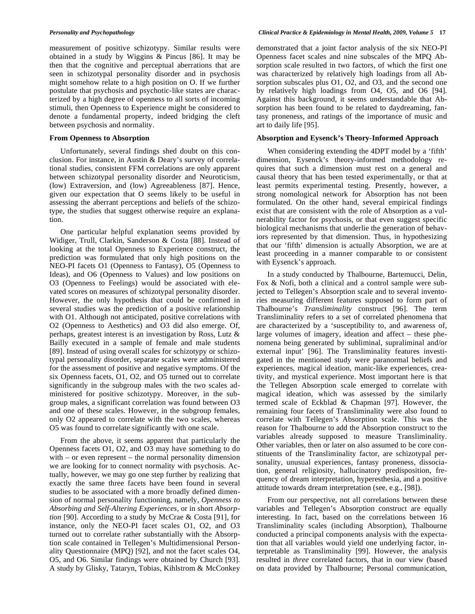measurement of positive schizotypy. Similar results were obtained in a study by Wiggins & Pincus [86]. It may be then that the cognitive and perceptual aberrations that are seen in schizotypal personality disorder and in psychosis might somehow relate to a high position on O. If we further postulate that psychosis and psychotic-like states are characterized by a high degree of openness to all sorts of incoming stimuli, then Openness to Experience might be considered to denote a fundamental property, indeed bridging the cleft between psychosis and normality.

#### **From Openness to Absorption**

Unfortunately, several findings shed doubt on this conclusion. For instance, in Austin & Deary's survey of correlational studies, consistent FFM correlations are only apparent between schizotypal personality disorder and Neuroticism, (low) Extraversion, and (low) Agreeableness [87]. Hence, given our expectation that O seems likely to be useful in assessing the aberrant perceptions and beliefs of the schizotype, the studies that suggest otherwise require an explanation.

One particular helpful explanation seems provided by Widiger, Trull, Clarkin, Sanderson & Costa [88]. Instead of looking at the total Openness to Experience construct, the prediction was formulated that only high positions on the NEO-PI facets O1 (Openness to Fantasy), O5 (Openness to Ideas), and O6 (Openness to Values) and low positions on O3 (Openness to Feelings) would be associated with elevated scores on measures of schizotypal personality disorder. However, the only hypothesis that could be confirmed in several studies was the prediction of a positive relationship with O1. Although not anticipated, positive correlations with O2 (Openness to Aesthetics) and O3 did also emerge. Of, perhaps, greatest interest is an investigation by Ross, Lutz & Bailly executed in a sample of female and male students [89]. Instead of using overall scales for schizotypy or schizotypal personality disorder, separate scales were administered for the assessment of positive and negative symptoms. Of the six Openness facets, O1, O2, and O5 turned out to correlate significantly in the subgroup males with the two scales administered for positive schizotypy. Moreover, in the subgroup males, a significant correlation was found between O3 and one of these scales. However, in the subgroup females, only O2 appeared to correlate with the two scales, whereas O5 was found to correlate significantly with one scale.

From the above, it seems apparent that particularly the Openness facets O1, O2, and O3 may have something to do with – or even represent – the normal personality dimension we are looking for to connect normality with psychosis. Actually, however, we may go one step further by realizing that exactly the same three facets have been found in several studies to be associated with a more broadly defined dimension of normal personality functioning, namely, *Openness to Absorbing and Self-Altering Experiences*, or in short *Absorption* [90]. According to a study by McCrae & Costa [91], for instance, only the NEO-PI facet scales O1, O2, and O3 turned out to correlate rather substantially with the Absorption scale contained in Tellegen's Multidimensional Personality Questionnaire (MPQ) [92], and not the facet scales O4, O5, and O6. Similar findings were obtained by Church [93]. A study by Glisky, Tataryn, Tobias, Kihlstrom & McConkey

demonstrated that a joint factor analysis of the six NEO-PI Openness facet scales and nine subscales of the MPQ Absorption scale resulted in two factors, of which the first one was characterized by relatively high loadings from all Absorption subscales plus O1, O2, and O3, and the second one by relatively high loadings from O4, O5, and O6 [94]. Against this background, it seems understandable that Absorption has been found to be related to daydreaming, fantasy proneness, and ratings of the importance of music and art to daily life [95].

# **Absorption and Eysenck's Theory-Informed Approach**

When considering extending the 4DPT model by a 'fifth' dimension, Eysenck's theory-informed methodology requires that such a dimension must rest on a general and causal theory that has been tested experimentally, or that at least permits experimental testing. Presently, however, a strong nomological network for Absorption has not been formulated. On the other hand, several empirical findings exist that are consistent with the role of Absorption as a vulnerability factor for psychosis, or that even suggest specific biological mechanisms that underlie the generation of behaviors represented by that dimension. Thus, in hypothesizing that our 'fifth' dimension is actually Absorption, we are at least proceeding in a manner comparable to or consistent with Eysenck's approach.

In a study conducted by Thalbourne, Bartemucci, Delin, Fox & Nofi, both a clinical and a control sample were subjected to Tellegen's Absorption scale and to several inventories measuring different features supposed to form part of Thalbourne's *Transliminality* construct [96]. The term Transliminality refers to a set of correlated phenomena that are characterized by a 'susceptibility to, and awareness of, large volumes of imagery, ideation and affect – these phenomena being generated by subliminal, supraliminal and/or external input' [96]. The Transliminality features investigated in the mentioned study were paranormal beliefs and experiences, magical ideation, manic-like experiences, creativity, and mystical experience. Most important here is that the Tellegen Absorption scale emerged to correlate with magical ideation, which was assessed by the similarly termed scale of Eckblad & Chapman [97]. However, the remaining four facets of Transliminality were also found to correlate with Tellegen's Absorption scale. This was the reason for Thalbourne to add the Absorption construct to the variables already supposed to measure Transliminality. Other variables, then or later on also assumed to be core constituents of the Transliminality factor, are schizotypal personality, unusual experiences, fantasy proneness, dissociation, general religiosity, hallucinatory predisposition, frequency of dream interpretation, hyperesthesia, and a positive attitude towards dream interpretation (see, e.g., [98]).

From our perspective, not all correlations between these variables and Tellegen's Absorption construct are equally interesting. In fact, based on the correlations between 16 Transliminality scales (including Absorption), Thalbourne conducted a principal components analysis with the expectation that all variables would yield one underlying factor, interpretable as Transliminality [99]. However, the analysis resulted in *three* correlated factors, that in our view (based on data provided by Thalbourne; Personal communication,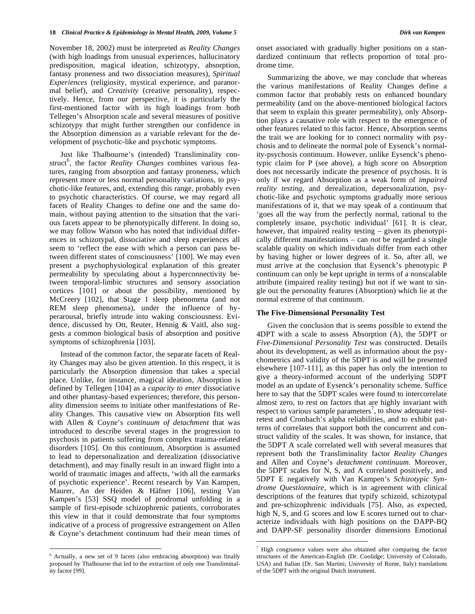November 18, 2002) must be interpreted as *Reality Changes* (with high loadings from unusual experiences, hallucinatory predisposition, magical ideation, schizotypy, absorption, fantasy proneness and two dissociation measures), *Spiritual Experiences* (religiosity, mystical experience, and paranormal belief), and *Creativity* (creative personality), respectively. Hence, from our perspective, it is particularly the first-mentioned factor with its high loadings from both Tellegen's Absorption scale and several measures of positive schizotypy that might further strengthen our confidence in the Absorption dimension as a variable relevant for the development of psychotic-like and psychotic symptoms.

Just like Thalbourne's (intended) Transliminality construct<sup>6</sup>, the factor *Reality Changes* combines various features, ranging from absorption and fantasy proneness, which represent more or less normal personality variations, to psychotic-like features, and, extending this range, probably even to psychotic characteristics. Of course, we may regard all facets of Reality Changes to define one and the same domain, without paying attention to the situation that the various facets appear to be phenotypically different. In doing so, we may follow Watson who has noted that individual differences in schizotypal, dissociative and sleep experiences all seem to 'reflect the ease with which a person can pass between different states of consciousness' [100]. We may even present a psychophysiological explanation of this greater permeability by speculating about a hyperconnectivity between temporal-limbic structures and sensory association cortices [101] or about the possibility, mentioned by McCreery [102], that Stage 1 sleep phenomena (and not REM sleep phenomena), under the influence of hyperarousal, briefly intrude into waking consciousness. Evidence, discussed by Ott, Reuter, Hennig & Vaitl, also suggests a common biological basis of absorption and positive symptoms of schizophrenia [103].

Instead of the common factor, the separate facets of Reality Changes may also be given attention. In this respect, it is particularly the Absorption dimension that takes a special place. Unlike, for instance, magical ideation, Absorption is defined by Tellegen [104] as a *capacity to enter* dissociative and other phantasy-based experiences; therefore, this personality dimension seems to initiate other manifestations of Reality Changes. This causative view on Absorption fits well with Allen & Coyne's *continuum of detachment* that was introduced to describe several stages in the progression to psychosis in patients suffering from complex trauma-related disorders [105]. On this continuum, Absorption is assumed to lead to depersonalization and derealization (dissociative detachment), and may finally result in an inward flight into a world of traumatic images and affects, 'with all the earmarks of psychotic experience'. Recent research by Van Kampen, Maurer, An der Heiden & Häfner [106], testing Van Kampen's [53] SSQ model of prodromal unfolding in a sample of first-episode schizophrenic patients, corroborates this view in that it could demonstrate that four symptoms indicative of a process of progressive estrangement on Allen & Coyne's detachment continuum had their mean times of

6 Actually, a new set of 9 facets (also embracing absorption) was finally proposed by Thalbourne that led to the extraction of only one Transliminality factor [99].

 $\overline{a}$ 

onset associated with gradually higher positions on a standardized continuum that reflects proportion of total prodrome time.

Summarizing the above, we may conclude that whereas the various manifestations of Reality Changes define a common factor that probably rests on enhanced boundary permeability (and on the above-mentioned biological factors that seem to explain this greater permeability), only Absorption plays a causative role with respect to the emergence of other features related to this factor. Hence, Absorption seems the trait we are looking for to connect normality with psychosis and to delineate the normal pole of Eysenck's normality-psychosis continuum. However, unlike Eysenck's phenotypic claim for P (see above), a high score on Absorption does not necessarily indicate the presence of psychosis. It is only if we regard Absorption as a weak form of *impaired reality testing*, and derealization, depersonalization, psychotic-like and psychotic symptoms gradually more serious manifestations of it, that we may speak of a continuum that 'goes all the way from the perfectly normal, rational to the completely insane, psychotic individual' [61]. It is clear, however, that impaired reality testing – given its phenotypically different manifestations – can *not* be regarded a single scalable quality on which individuals differ from each other by having higher or lower degrees of it. So, after all, we must arrive at the conclusion that Eysenck's phenotypic P continuum can only be kept upright in terms of a nonscalable attribute (impaired reality testing) but not if we want to single out the personality features (Absorption) which lie at the normal extreme of that continuum.

# **The Five-Dimensional Personality Test**

Given the conclusion that is seems possible to extend the 4DPT with a scale to assess Absorption (A), the 5DPT or *Five-Dimensional Personality Test* was constructed. Details about its development, as well as information about the psychometrics and validity of the 5DPT is and will be presented elsewhere [107-111], as this paper has only the intention to give a theory-informed account of the underlying 5DPT model as an update of Eysenck's personality scheme. Suffice here to say that the 5DPT scales were found to intercorrelate almost zero, to rest on factors that are highly invariant with respect to various sample parameters<sup>7</sup>, to show adequate testretest and Cronbach's alpha reliabilities, and to exhibit patterns of correlates that support both the concurrent and construct validity of the scales. It was shown, for instance, that the 5DPT A scale correlated well with several measures that represent both the Transliminality factor *Reality Changes* and Allen and Coyne's *detachment continuum*. Moreover, the 5DPT scales for N, S, and A correlated positively, and 5DPT E negatively with Van Kampen's *Schizotypic Syndrome Questionnaire*, which is in agreement with clinical descriptions of the features that typify schizoid, schizotypal and pre-schizophrenic individuals [75]. Also, as expected, high N, S, and G scores and low E scores turned out to characterize individuals with high positions on the DAPP-BQ and DAPP-SF personality disorder dimensions Emotional

<u>.</u>

 $\alpha$ <sup>7</sup> High congruence values were also obtained after comparing the factor structures of the American-English (Dr. Coolidge; University of Colorado, USA) and Italian (Dr. San Martini; University of Rome, Italy) translations of the 5DPT with the original Dutch instrument.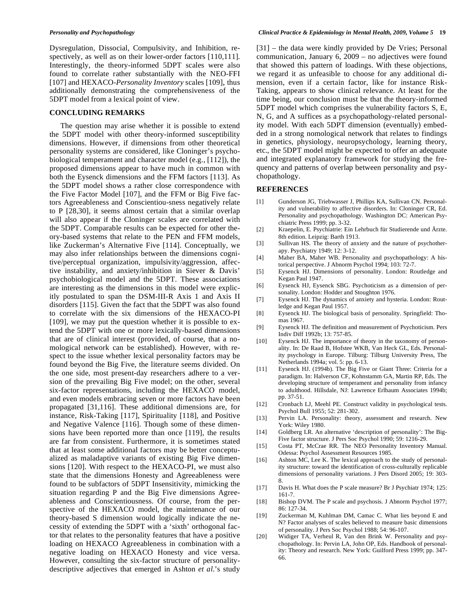Dysregulation, Dissocial, Compulsivity, and Inhibition, respectively, as well as on their lower-order factors [110,111]. Interestingly, the theory-informed 5DPT scales were also found to correlate rather substantially with the NEO-FFI [107] and HEXACO-*Personality Inventory* scales [109], thus additionally demonstrating the comprehensiveness of the 5DPT model from a lexical point of view.

# **CONCLUDING REMARKS**

The question may arise whether it is possible to extend the 5DPT model with other theory-informed susceptibility dimensions. However, if dimensions from other theoretical personality systems are considered, like Cloninger's psychobiological temperament and character model (e.g., [112]), the proposed dimensions appear to have much in common with both the Eysenck dimensions and the FFM factors [113]. As the 5DPT model shows a rather close correspondence with the Five Factor Model [107], and the FFM or Big Five factors Agreeableness and Conscientiou-sness negatively relate to P [28,30], it seems almost certain that a similar overlap will also appear if the Cloninger scales are correlated with the 5DPT. Comparable results can be expected for other theory-based systems that relate to the PEN and FFM models, like Zuckerman's Alternative Five [114]. Conceptually, we may also infer relationships between the dimensions cognitive/perceptual organization, impulsivity/aggression, affective instability, and anxiety/inhibition in Siever & Davis' psychobiological model and the 5DPT. These associations are interesting as the dimensions in this model were explicitly postulated to span the DSM-III-R Axis 1 and Axis II disorders [115]. Given the fact that the 5DPT was also found to correlate with the six dimensions of the HEXACO-PI [109], we may put the question whether it is possible to extend the 5DPT with one or more lexically-based dimensions that are of clinical interest (provided, of course, that a nomological network can be established). However, with respect to the issue whether lexical personality factors may be found beyond the Big Five, the literature seems divided. On the one side, most present-day researchers adhere to a version of the prevailing Big Five model; on the other, several six-factor representations, including the HEXACO model, and even models embracing seven or more factors have been propagated [31,116]. These additional dimensions are, for instance, Risk-Taking [117], Spirituality [118], and Positive and Negative Valence [116]. Though some of these dimensions have been reported more than once [119], the results are far from consistent. Furthermore, it is sometimes stated that at least some additional factors may be better conceptualized as maladaptive variants of existing Big Five dimensions [120]. With respect to the HEXACO-PI, we must also state that the dimensions Honesty and Agreeableness were found to be subfactors of 5DPT Insensitivity, mimicking the situation regarding P and the Big Five dimensions Agreeableness and Conscientiousness. Of course, from the perspective of the HEXACO model, the maintenance of our theory-based S dimension would logically indicate the necessity of extending the 5DPT with a 'sixth' orthogonal factor that relates to the personality features that have a positive loading on HEXACO Agreeableness in combination with a negative loading on HEXACO Honesty and vice versa. However, consulting the six-factor structure of personalitydescriptive adjectives that emerged in Ashton *et al*.'s study

[31] – the data were kindly provided by De Vries; Personal communication, January 6, 2009 – no adjectives were found that showed this pattern of loadings. With these objections, we regard it as unfeasible to choose for any additional dimension, even if a certain factor, like for instance Risk-Taking, appears to show clinical relevance. At least for the time being, our conclusion must be that the theory-informed 5DPT model which comprises the vulnerability factors S, E, N, G, and A suffices as a psychopathology-related personality model. With each 5DPT dimension (eventually) embedded in a strong nomological network that relates to findings in genetics, physiology, neuropsychology, learning theory, etc., the 5DPT model might be expected to offer an adequate and integrated explanatory framework for studying the frequency and patterns of overlap between personality and psychopathology.

# **REFERENCES**

- [1] Gunderson JG, Triebwasser J, Phillips KA, Sullivan CN. Personality and vulnerability to affective disorders. In: Cloninger CR, Ed. Personality and psychopathology. Washington DC: American Psychiatric Press 1999; pp. 3-32.
- [2] Kraepelin, E. Psychiatrie: Ein Lehrbuch für Studierende und Ärzte. 8th edition. Leipzig: Barth 1913.
- [3] Sullivan HS. The theory of anxiety and the nature of psychotherapy. Psychiatry 1949; 12: 3-12.
- [4] Maher BA, Maher WB. Personality and psychopathology: A historical perspective. J Abnorm Psychol 1994; 103: 72-7.
- [5] Eysenck HJ. Dimensions of personality. London: Routledge and Kegan Paul 1947.
- [6] Eysenck HJ, Eysenck SBG. Psychoticism as a dimension of personality. London: Hodder and Stoughton 1976.
- [7] Eysenck HJ. The dynamics of anxiety and hysteria. London: Routledge and Kegan Paul 1957.
- [8] Eysenck HJ. The biological basis of personality. Springfield: Thomas 1967.
- [9] Eysenck HJ. The definition and measurement of Psychoticism. Pers Indiv Diff 1992b; 13: 757-85.
- [10] Eysenck HJ. The importance of theory in the taxonomy of personality. In: De Raad B, Hofstee WKB, Van Heck GL, Eds. Personality psychology in Europe. Tilburg: Tilburg University Press, The Netherlands 1994a; vol. 5: pp. 6-13.
- [11] Eysenck HJ. (1994b). The Big Five or Giant Three: Criteria for a paradigm. In: Halverson CF, Kohnstamm GA, Martin RP, Eds. The developing structure of temperament and personality from infancy to adulthood. Hillsdale, NJ: Lawrence Erlbaum Associates 1994b; pp. 37-51.
- [12] Cronbach LJ, Meehl PE. Construct validity in psychological tests. Psychol Bull 1955; 52: 281-302.
- [13] Pervin LA. Personality: theory, assessment and research. New York: Wiley 1980.
- [14] Goldberg LR. An alternative 'description of personality': The Big-Five factor structure. J Pers Soc Psychol 1990; 59: 1216-29.
- [15] Costa PT, McCrae RR. The NEO Personality Inventory Manual. Odessa: Psychol Assessment Resources 1985.
- [16] Ashton MC, Lee K. The lexical approach to the study of personality structure: toward the identification of cross-culturally replicable dimensions of personality variations. J Pers Disord 2005; 19: 303- 8.
- [17] Davis H. What does the P scale measure? Br J Psychiatr 1974; 125: 161-7.
- [18] Bishop DVM. The P scale and psychosis. J Abnorm Psychol 1977; 86: 127-34.
- [19] Zuckerman M, Kuhlman DM, Camac C. What lies beyond E and N? Factor analyses of scales believed to measure basic dimensions of personality. J Pers Soc Psychol 1988; 54: 96-107.
- [20] Widiger TA, Verheul R, Van den Brink W. Personality and psychopathology. In: Pervin LA, John OP, Eds. Handbook of personality: Theory and research. New York: Guilford Press 1999; pp. 347- 66.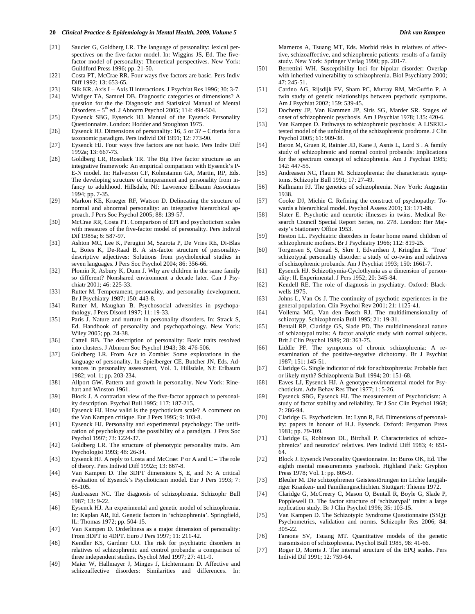- [21] Saucier G, Goldberg LR. The language of personality: lexical perspectives on the five-factor model. In: Wiggins JS, Ed. The fivefactor model of personality: Theoretical perspectives. New York: Guildford Press 1996; pp. 21-50.
- [22] Costa PT, McCrae RR. Four ways five factors are basic. Pers Indiv Diff 1992; 13: 653-65.
- [23] Silk KR. Axis I Axis II interactions. J Psychiat Res 1996; 30: 3-7.
- [24] Widiger TA, Samuel DB. Diagnostic categories or dimensions? A question for the the Diagnostic and Statistical Manual of Mental Disorders –  $5<sup>th</sup>$  ed. J Abnorm Psychol 2005; 114: 494-504.
- [25] Eysenck SBG, Eysenck HJ. Manual of the Eysenck Personality Questionnaire. London: Hodder and Stoughton 1975.
- [26] Eysenck HJ. Dimensions of personality: 16, 5 or 3? Criteria for a taxonomic paradigm. Pers Individ Dif 1991; 12: 773-90.
- [27] Eysenck HJ. Four ways five factors are not basic. Pers Indiv Diff 1992a; 13: 667-73.
- [28] Goldberg LR, Rosolack TR. The Big Five factor structure as an integrative framework: An empirical comparison with Eysenck's P-E-N model. In: Halverson CF, Kohnstamm GA, Martin, RP, Eds. The developing structure of temperament and personality from infancy to adulthood. Hillsdale, NJ: Lawrence Erlbaum Associates 1994; pp. 7-35.
- [29] Markon KE, Krueger RF, Watson D. Delineating the structure of normal and abnormal personality: an integrative hierarchical approach. J Pers Soc Psychol 2005; 88: 139-57.
- [30] McCrae RR, Costa PT. Comparison of EPI and psychoticism scales with measures of the five-factor model of personality. Pers Individ Dif 1985a; 6: 587-97.
- [31] Ashton MC, Lee K, Perugini M, Szarota P, De Vries RE, Di-Blas L, Boies K, De-Raad B. A six-factor structure of personalitydescriptive adjectives: Solutions from psycholexical studies in seven languages. J Pers Soc Psychol 2004; 86: 356-66.
- [32] Plomin R, Asbury K, Dunn J. Why are children in the same family so different? Nonshared environment a decade later. Can J Psychiatr 2001; 46: 225-33.
- [33] Rutter M. Temperament, personality, and personality development. Br J Psychiatry 1987; 150: 443-8.
- [34] Rutter M, Maughan B. Psychosocial adversities in psychopathology. J Pers Disord 1997; 11: 19-33.
- [35] Paris J. Nature and nurture in personality disorders. In: Strack S, Ed. Handbook of personality and psychopathology. New York: Wiley 2005; pp. 24-38.
- [36] Cattell RB. The description of personality: Basic traits resolved into clusters. J Abnrom Soc Psychol 1943; 38: 476-506.
- [37] Goldberg LR. From Ace to Zombie: Some explorations in the language of personality. In: Spielberger CE, Butcher JN, Eds. Advances in personality assessment, Vol. 1. Hillsdale, NJ: Erlbaum 1982; vol. 1; pp. 203-234.
- [38] Allport GW. Pattern and growth in personality. New York: Rinehart and Winston 1961.
- [39] Block J. A contrarian view of the five-factor approach to personality description. Psychol Bull 1995; 117: 187-215.
- [40] Eysenck HJ. How valid is the psychoticism scale? A comment on the Van Kampen critique. Eur J Pers 1995; 9: 103-8.
- [41] Eysenck HJ. Personality and experimental psychology: The unification of psychology and the possibility of a paradigm. J Pers Soc Psychol 1997; 73: 1224-37.
- [42] Goldberg LR. The structure of phenotypic personality traits. Am Psychologist 1993; 48: 26-34.
- [43] Eysenck HJ. A reply to Costa and McCrae: P or A and C The role of theory. Pers Individ Diff 1992c; 13: 867-8.
- [44] Van Kampen D. The 3DPT dimensions S, E, and N: A critical evaluation of Eysenck's Psychoticism model. Eur J Pers 1993; 7: 65-105.
- [45] Andreasen NC. The diagnosis of schizophrenia. Schizophr Bull 1987; 13: 9-22.
- [46] Eysenck HJ. An experimental and genetic model of schizophrenia. In: Kaplan AR, Ed. Genetic factors in 'schizophrenia'. Springfield, IL: Thomas 1972; pp. 504-15.
- [47] Van Kampen D. Orderliness as a major dimension of personality: From 3DPT to 4DPT. Euro J Pers 1997; 11: 211-42.
- [48] Kendler KS, Gardner CO. The risk for psychiatric disorders in relatives of schizophrenic and control probands: a comparison of three independent studies. Psychol Med 1997; 27: 411-9.
- [49] Maier W, Hallmayer J, Minges J, Lichtermann D. Affective and schizoaffective disorders: Similarities and differences. In:

Marneros A, Tsuang MT, Eds. Morbid risks in relatives of affective, schizoaffective, and schizophrenic patients: results of a family study. New York: Springer Verlag 1990; pp. 201-7.

- [50] Berrettini WH. Susceptibility loci for bipolar disorder: Overlap with inherited vulnerability to schizophrenia. Biol Psychiatry 2000; 47: 245-51.
- [51] Cardno AG, Rijsdijk FV, Sham PC, Murray RM, McGuffin P. A twin study of genetic relationships between psychotic symptoms. Am J Psychiat 2002; 159: 539-45.
- [52] Docherty JP, Van Kammen JP, Siris SG, Marder SR. Stages of onset of schizophrenic psychosis. Am J Psychiat 1978; 135: 420-6.
- [53] Van Kampen D. Pathways to schizophrenic psychosis: A LISRELtested model of the unfolding of the schizophrenic prodrome. J Clin Psychol 2005; 61: 909-38.
- [54] Baron M, Gruen R, Rainier JD, Kane J, Asnis L, Lord S. A family study of schizophrenic and normal control probands: Implications for the spectrum concept of schizophrenia. Am J Psychiat 1985; 142: 447-55.
- [55] Andreasen NC, Flaum M. Schizophrenia: the characteristic symptoms. Schizophr Bull 1991; 17: 27-49.
- [56] Kallmann FJ. The genetics of schizophrenia. New York: Augustin 1938.
- [57] Cooke DJ, Michie C. Refining the construct of psychopathy: Towards a hierarchical model. Psychol Assess 2001; 13: 171-88.
- [58] Slater E. Psychotic and neurotic illnesses in twins. Medical Research Council Special Report Series, no. 278. London: Her Majesty's Stationery Office 1953.
- [59] Heston LL. Psychiatric disorders in foster home reared children of schizophrenic mothers. Br J Psychiatry 1966; 112: 819-25.
- [60] Torgersen S, Onstad S, Skre I, Edvardsen J, Kringlen E. 'True' schizotypal personality disorder: a study of co-twins and relatives of schizophrenic probands. Am J Psychiat 1993; 150: 1661-7.
- [61] Eysenck HJ. Schizothymia-Cyclothymia as a dimension of personality: II. Experimental. J Pers 1952; 20: 345-84.
- [62] Kendell RE. The role of diagnosis in psychiatry. Oxford: Blackwells 1975.
- [63] Johns L, Van Os J. The continuity of psychotic experiences in the general population. Clin Psychol Rev 2001; 21: 1125-41.
- [64] Vollema MG, Van den Bosch RJ. The multidimensionality of schizotypy. Schizophrenia Bull 1995; 21: 19-31.
- [65] Bentall RP, Claridge GS, Slade PD. The multidimensional nature of schizotypal traits: A factor analytic study with normal subjects. Brit J Clin Psychol 1989; 28: 363-75.
- [66] Liddle PF. The symptoms of chronic schizophrenia: A reexamination of the positive-negative dichotomy. Br J Psychiat 1987; 151: 145-51.
- [67] Claridge G. Single indicator of risk for schizophrenia: Probable fact or likely myth? Schizophrenia Bull 1994; 20: 151-68.
- [68] Eaves LJ, Eysenck HJ. A genotype-environmental model for Psychoticism. Adv Behav Res Ther 1977; 1: 5-26.
- [69] Eysenck SBG, Eysenck HJ. The measurement of Psychoticism: A study of factor stability and reliability. Br J Soc Clin Psychol 1968; 7: 286-94.
- [70] Claridge G. Psychoticism. In: Lynn R, Ed. Dimensions of personality: papers in honour of H.J. Eysenck. Oxford: Pergamon Press 1981; pp. 79-109.
- [71] Claridge G, Robinson DL, Birchall P. Characteristics of schizophrenics' and neurotics' relatives. Pers Individ Diff 1983; 4: 651- 64.
- [72] Block J. Eysenck Personality Questionnaire. In: Buros OK, Ed. The eighth mental measurements yearbook. Highland Park: Gryphon Press 1978; Vol. 1: pp. 805-9.
- [73] Bleuler M. Die schizophrenen Geistesstörungen im Lichte langjähriger Kranken- und Familiengeschichten. Stuttgart: Thieme 1972.
- [74] Claridge G, McCreery C, Mason O, Bentall R, Boyle G, Slade P, Popplewell D. The factor structure of 'schizotypal' traits: a large replication study. Br J Clin Psychol 1996; 35: 103-15.
- [75] Van Kampen D. The Schizotypic Syndrome Questionnaire (SSQ): Psychometrics, validation and norms. Schizophr Res 2006; 84: 305-22.
- [76] Faraone SV, Tsuang MT. Quantitative models of the genetic transmission of schizophrenia. Psychol Bull 1985, 98: 41-66.
- [77] Roger D, Morris J. The internal structure of the EPQ scales. Pers Individ Dif 1991; 12: 759-64.